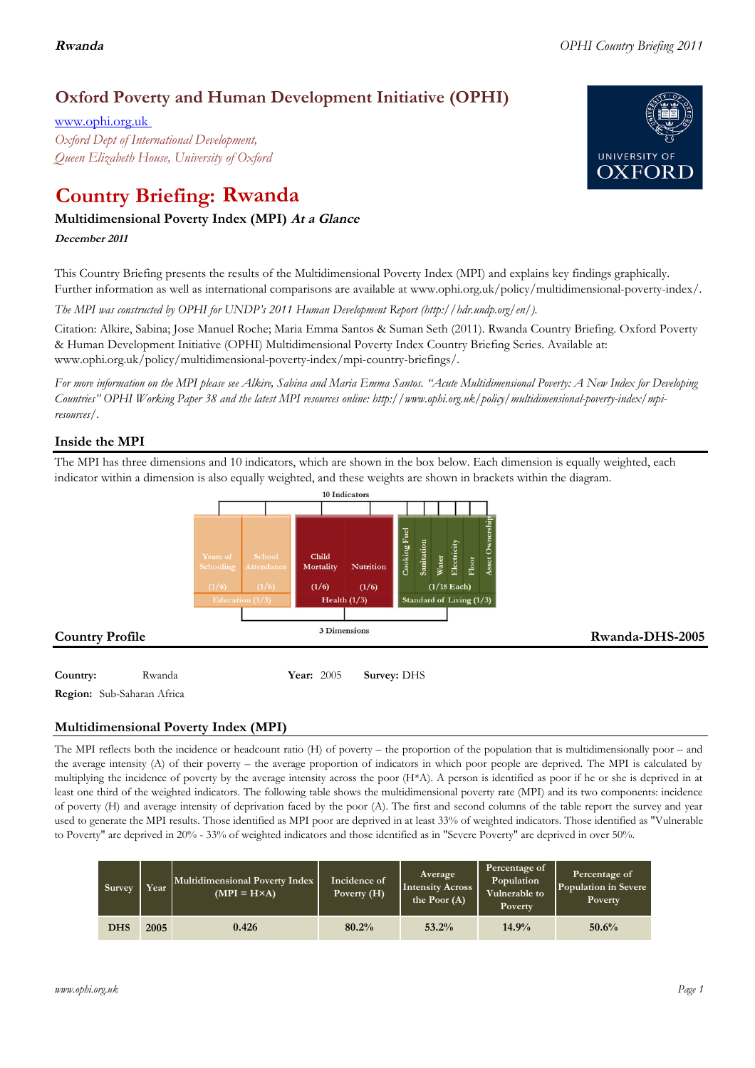# **Oxford Poverty and Human Development Initiative (OPHI)**

www.ophi.org.uk *Oxford Dept of International Development, Queen Elizabeth House, University of Oxford*

# **Country Briefing: Rwanda**

# **Multidimensional Poverty Index (MPI) At <sup>a</sup> Glance**

**December <sup>2011</sup>**

This Country Briefing presents the results of the Multidimensional Poverty Index (MPI) and explains key findings graphically. Further information as well as international comparisons are available at www.ophi.org.uk/policy/multidimensional-poverty-index/.

*The MPI was constructed by OPHI for UNDP's 2011 Human Development Report (http://hdr.undp.org/en/).*

Citation: Alkire, Sabina; Jose Manuel Roche; Maria Emma Santos & Suman Seth (2011). Rwanda Country Briefing. Oxford Poverty & Human Development Initiative (OPHI) Multidimensional Poverty Index Country Briefing Series. Available at: www.ophi.org.uk/policy/multidimensional-poverty-index/mpi-country-briefings/.

*For more information on the MPI please see Alkire, Sabina and Maria Emma Santos. "Acute Multidimensional Poverty: A New Index for Developing Countries" OPHI Working Paper 38 and the latest MPI resources online: http://www.ophi.org.uk/policy/multidimensional-poverty-index/mpiresources/.*

# **Inside the MPI**

The MPI has three dimensions and 10 indicators, which are shown in the box below. Each dimension is equally weighted, each indicator within a dimension is also equally weighted, and these weights are shown in brackets within the diagram.



**Country:** 3 Rwanda 3 **Year:** 2005 **Survey:** DHS **Region:** Sub-Saharan Africa

**Multidimensional Poverty Index (MPI)**

The MPI reflects both the incidence or headcount ratio (H) of poverty – the proportion of the population that is multidimensionally poor – and the average intensity (A) of their poverty – the average proportion of indicators in which poor people are deprived. The MPI is calculated by multiplying the incidence of poverty by the average intensity across the poor (H\*A). A person is identified as poor if he or she is deprived in at least one third of the weighted indicators. The following table shows the multidimensional poverty rate (MPI) and its two components: incidence of poverty (H) and average intensity of deprivation faced by the poor (A). The first and second columns of the table report the survey and year used to generate the MPI results. Those identified as MPI poor are deprived in at least 33% of weighted indicators. Those identified as "Vulnerable to Poverty" are deprived in 20% - 33% of weighted indicators and those identified as in "Severe Poverty" are deprived in over 50%.

| Survey     | Year | Multidimensional Poverty Index<br>$(MPI = H \times A)$ | Incidence of<br>Poverty (H) | Average<br><b>Intensity Across</b><br>the Poor $(A)$ | Percentage of<br>Population<br>Vulnerable to<br>Poverty | Percentage of<br>Population in Severe<br>Poverty |
|------------|------|--------------------------------------------------------|-----------------------------|------------------------------------------------------|---------------------------------------------------------|--------------------------------------------------|
| <b>DHS</b> | 2005 | 0.426                                                  | 80.2%                       | 53.2%                                                | 14.9%                                                   | 50.6%                                            |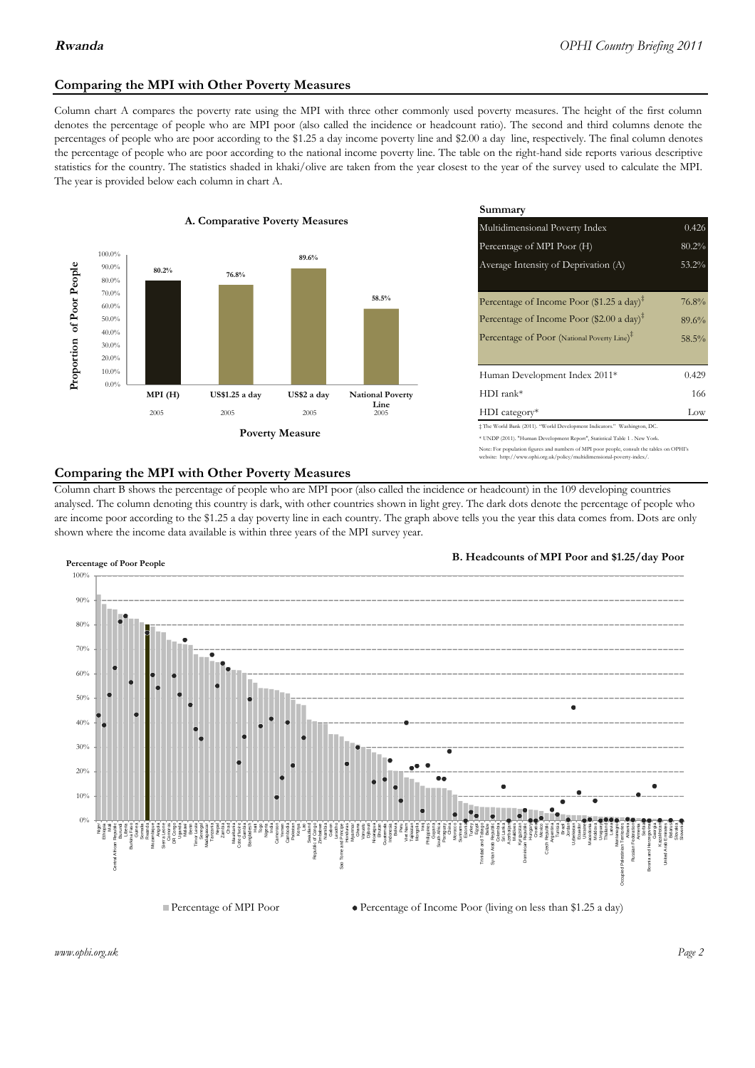# **Comparing the MPI with Other Poverty Measures**

Column chart A compares the poverty rate using the MPI with three other commonly used poverty measures. The height of the first column denotes the percentage of people who are MPI poor (also called the incidence or headcount ratio). The second and third columns denote the percentages of people who are poor according to the \$1.25 a day income poverty line and \$2.00 a day line, respectively. The final column denotes the percentage of people who are poor according to the national income poverty line. The table on the right-hand side reports various descriptive statistics for the country. The statistics shaded in khaki/olive are taken from the year closest to the year of the survey used to calculate the MPI. The year is provided below each column in chart A.



|                 |                         | Summary                                                                                                                                                |          |  |  |  |
|-----------------|-------------------------|--------------------------------------------------------------------------------------------------------------------------------------------------------|----------|--|--|--|
| erty Measures   |                         | 0.426<br>Multidimensional Poverty Index                                                                                                                |          |  |  |  |
|                 |                         | 80.2%<br>Percentage of MPI Poor (H)                                                                                                                    |          |  |  |  |
| 89.6%           |                         | Average Intensity of Deprivation (A)                                                                                                                   | 53.2%    |  |  |  |
|                 | 58.5%                   | Percentage of Income Poor (\$1.25 a day) <sup><math>\ddagger</math></sup>                                                                              | 76.8%    |  |  |  |
|                 |                         | Percentage of Income Poor (\$2.00 a day) <sup><math>\ddagger</math></sup>                                                                              | 89.6%    |  |  |  |
|                 |                         | Percentage of Poor (National Poverty Line) <sup>#</sup>                                                                                                | $58.5\%$ |  |  |  |
|                 |                         | Human Development Index 2011*                                                                                                                          | 0.429    |  |  |  |
| US\$2 a day     | <b>National Poverty</b> | $HDI$ rank*                                                                                                                                            | 166      |  |  |  |
| 2005            | Line<br>2005            | $HDI category*$                                                                                                                                        | Low      |  |  |  |
| <b>⁄Ieasure</b> |                         | # The World Bank (2011). "World Development Indicators." Washington, DC.<br>* UNDP (2011). "Human Development Report", Statistical Table 1 . New York. |          |  |  |  |

te: For population figures and numbers of MPI poor people, consult the tables on OPHI's te: http://www.ophi.org.uk/policy/multidimensional-poverty-index/

### **Comparing the MPI with Other Poverty Measures**

Column chart B shows the percentage of people who are MPI poor (also called the incidence or headcount) in the 109 developing countries analysed. The column denoting this country is dark, with other countries shown in light grey. The dark dots denote the percentage of people who are income poor according to the \$1.25 a day poverty line in each country. The graph above tells you the year this data comes from. Dots are only shown where the income data available is within three years of the MPI survey year.



**B. Headcounts of MPI Poor and \$1.25/day Poor**



*www.ophi.org.uk Page 2*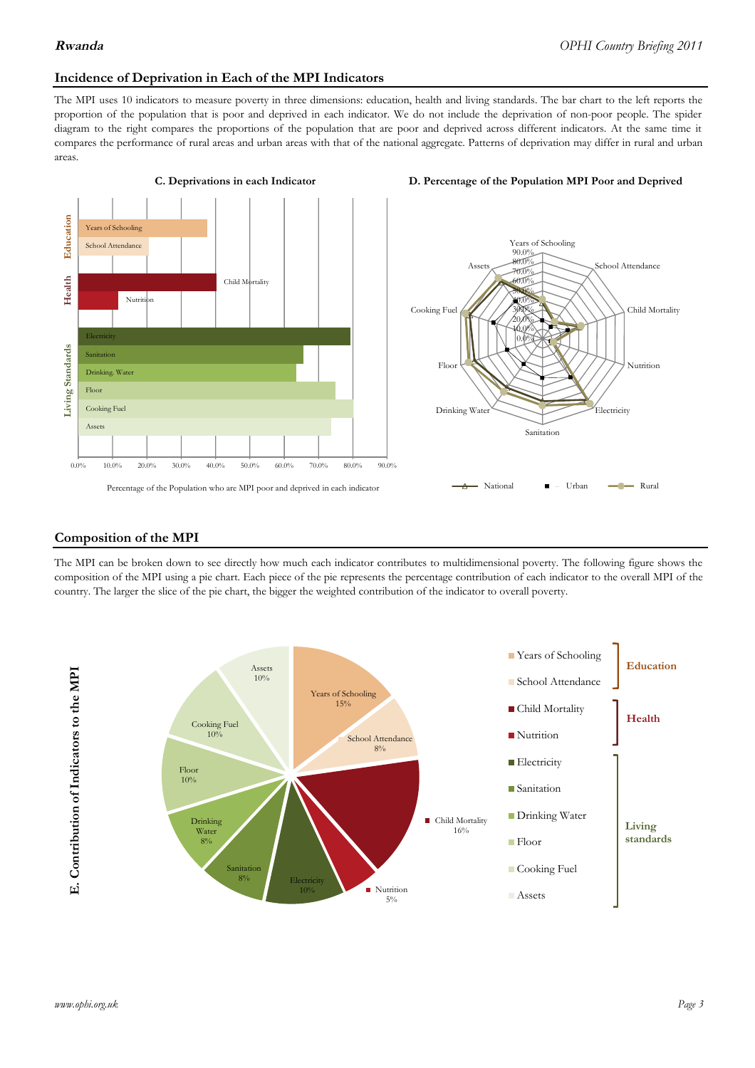### **Incidence of Deprivation in Each of the MPI Indicators**

The MPI uses 10 indicators to measure poverty in three dimensions: education, health and living standards. The bar chart to the left reports the proportion of the population that is poor and deprived in each indicator. We do not include the deprivation of non-poor people. The spider diagram to the right compares the proportions of the population that are poor and deprived across different indicators. At the same time it compares the performance of rural areas and urban areas with that of the national aggregate. Patterns of deprivation may differ in rural and urban areas.







#### **Composition of the MPI**

The MPI can be broken down to see directly how much each indicator contributes to multidimensional poverty. The following figure shows the composition of the MPI using a pie chart. Each piece of the pie represents the percentage contribution of each indicator to the overall MPI of the country. The larger the slice of the pie chart, the bigger the weighted contribution of the indicator to overall poverty.

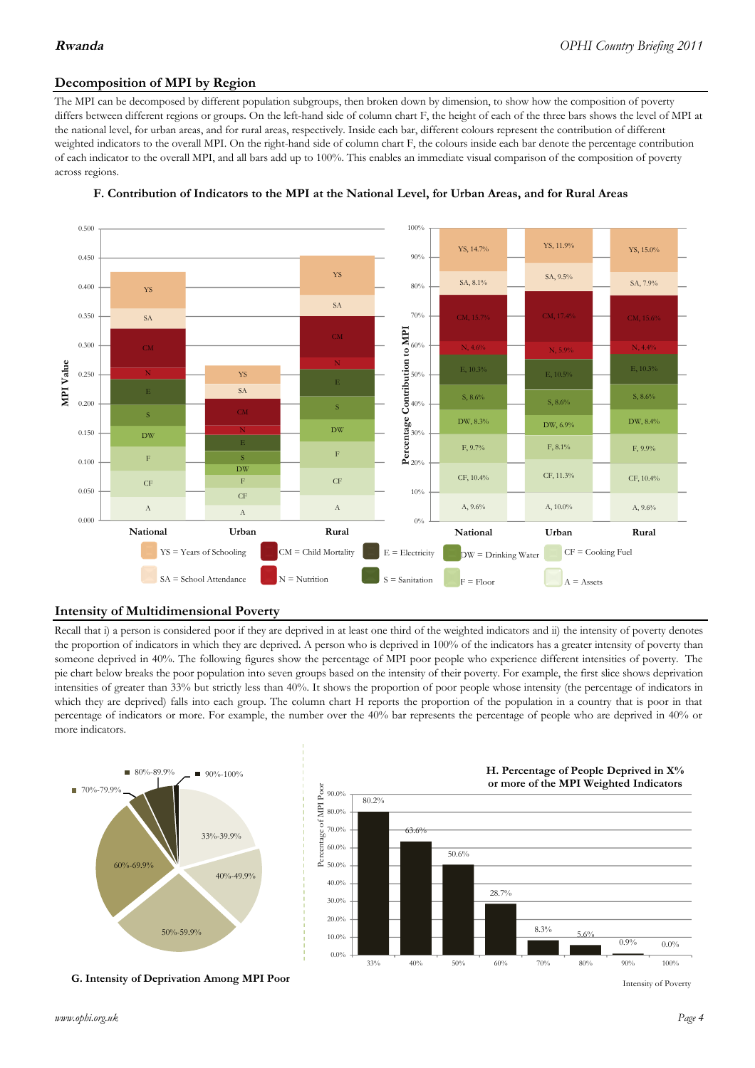# **Decomposition of MPI by Region**

The MPI can be decomposed by different population subgroups, then broken down by dimension, to show how the composition of poverty differs between different regions or groups. On the left-hand side of column chart F, the height of each of the three bars shows the level of MPI at the national level, for urban areas, and for rural areas, respectively. Inside each bar, different colours represent the contribution of different weighted indicators to the overall MPI. On the right-hand side of column chart F, the colours inside each bar denote the percentage contribution of each indicator to the overall MPI, and all bars add up to 100%. This enables an immediate visual comparison of the composition of poverty across regions.





# **Intensity of Multidimensional Poverty**

Recall that i) a person is considered poor if they are deprived in at least one third of the weighted indicators and ii) the intensity of poverty denotes the proportion of indicators in which they are deprived. A person who is deprived in 100% of the indicators has a greater intensity of poverty than someone deprived in 40%. The following figures show the percentage of MPI poor people who experience different intensities of poverty. The pie chart below breaks the poor population into seven groups based on the intensity of their poverty. For example, the first slice shows deprivation intensities of greater than 33% but strictly less than 40%. It shows the proportion of poor people whose intensity (the percentage of indicators in which they are deprived) falls into each group. The column chart H reports the proportion of the population in a country that is poor in that percentage of indicators or more. For example, the number over the 40% bar represents the percentage of people who are deprived in 40% or more indicators.



**G. Intensity of Deprivation Among MPI Poor**



Intensity of Poverty